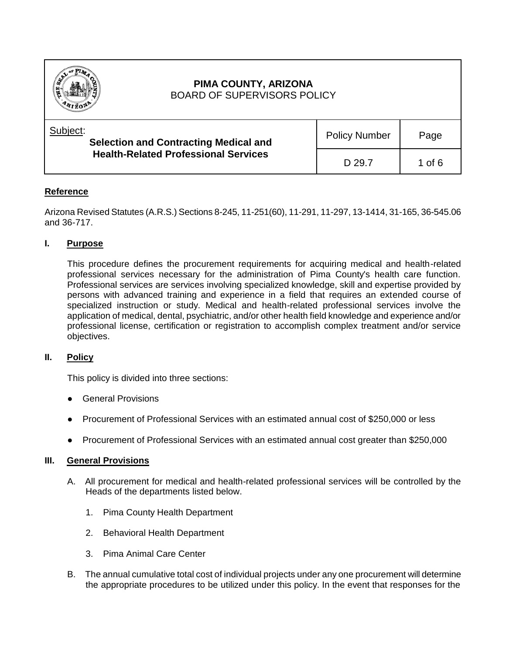

# **Reference**

Arizona Revised Statutes (A.R.S.) Sections 8-245, 11-251(60), 11-291, 11-297, 13-1414, 31-165, 36-545.06 and 36-717.

## **I. Purpose**

This procedure defines the procurement requirements for acquiring medical and health-related professional services necessary for the administration of Pima County's health care function. Professional services are services involving specialized knowledge, skill and expertise provided by persons with advanced training and experience in a field that requires an extended course of specialized instruction or study. Medical and health-related professional services involve the application of medical, dental, psychiatric, and/or other health field knowledge and experience and/or professional license, certification or registration to accomplish complex treatment and/or service objectives.

## **II. Policy**

This policy is divided into three sections:

- **General Provisions**
- Procurement of Professional Services with an estimated annual cost of \$250,000 or less
- Procurement of Professional Services with an estimated annual cost greater than \$250,000

#### **III. General Provisions**

- A. All procurement for medical and health-related professional services will be controlled by the Heads of the departments listed below.
	- 1. Pima County Health Department
	- 2. Behavioral Health Department
	- 3. Pima Animal Care Center
- B. The annual cumulative total cost of individual projects under any one procurement will determine the appropriate procedures to be utilized under this policy. In the event that responses for the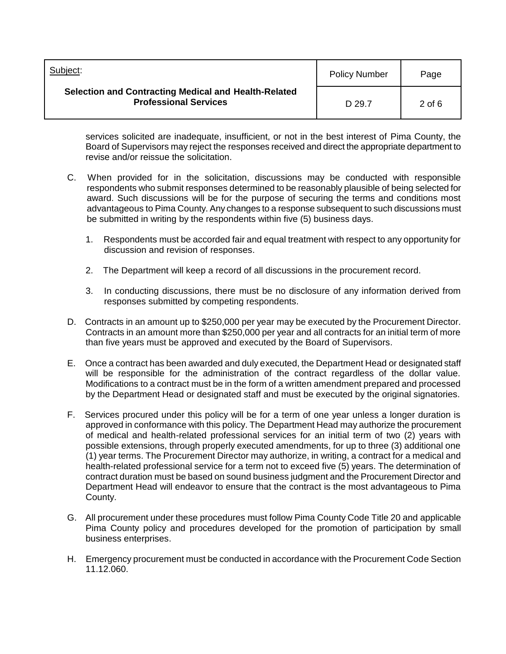| Subject:                                                                                    | <b>Policy Number</b> | Page     |
|---------------------------------------------------------------------------------------------|----------------------|----------|
| <b>Selection and Contracting Medical and Health-Related</b><br><b>Professional Services</b> | D 29.7               | $2$ of 6 |

services solicited are inadequate, insufficient, or not in the best interest of Pima County, the Board of Supervisors may reject the responses received and direct the appropriate department to revise and/or reissue the solicitation.

- C. When provided for in the solicitation, discussions may be conducted with responsible respondents who submit responses determined to be reasonably plausible of being selected for award. Such discussions will be for the purpose of securing the terms and conditions most advantageous to Pima County. Any changes to a response subsequent to such discussions must be submitted in writing by the respondents within five (5) business days.
	- 1. Respondents must be accorded fair and equal treatment with respect to any opportunity for discussion and revision of responses.
	- 2. The Department will keep a record of all discussions in the procurement record.
	- 3. In conducting discussions, there must be no disclosure of any information derived from responses submitted by competing respondents.
- D. Contracts in an amount up to \$250,000 per year may be executed by the Procurement Director. Contracts in an amount more than \$250,000 per year and all contracts for an initial term of more than five years must be approved and executed by the Board of Supervisors.
- E. Once a contract has been awarded and duly executed, the Department Head or designated staff will be responsible for the administration of the contract regardless of the dollar value. Modifications to a contract must be in the form of a written amendment prepared and processed by the Department Head or designated staff and must be executed by the original signatories.
- F. Services procured under this policy will be for a term of one year unless a longer duration is approved in conformance with this policy. The Department Head may authorize the procurement of medical and health-related professional services for an initial term of two (2) years with possible extensions, through properly executed amendments, for up to three (3) additional one (1) year terms. The Procurement Director may authorize, in writing, a contract for a medical and health-related professional service for a term not to exceed five (5) years. The determination of contract duration must be based on sound business judgment and the Procurement Director and Department Head will endeavor to ensure that the contract is the most advantageous to Pima County.
- G. All procurement under these procedures must follow Pima County Code Title 20 and applicable Pima County policy and procedures developed for the promotion of participation by small business enterprises.
- H. Emergency procurement must be conducted in accordance with the Procurement Code Section 11.12.060.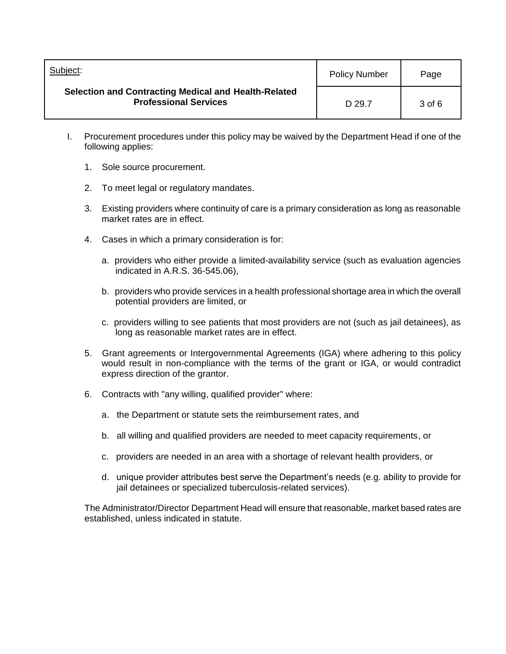| Subject:                                                                             | <b>Policy Number</b> | Page     |
|--------------------------------------------------------------------------------------|----------------------|----------|
| Selection and Contracting Medical and Health-Related<br><b>Professional Services</b> | D 29.7               | $3$ of 6 |

- I. Procurement procedures under this policy may be waived by the Department Head if one of the following applies:
	- 1. Sole source procurement.
	- 2. To meet legal or regulatory mandates.
	- 3. Existing providers where continuity of care is a primary consideration as long as reasonable market rates are in effect.
	- 4. Cases in which a primary consideration is for:
		- a. providers who either provide a limited-availability service (such as evaluation agencies indicated in A.R.S. 36-545.06),
		- b. providers who provide services in a health professional shortage area in which the overall potential providers are limited, or
		- c. providers willing to see patients that most providers are not (such as jail detainees), as long as reasonable market rates are in effect.
	- 5. Grant agreements or Intergovernmental Agreements (IGA) where adhering to this policy would result in non-compliance with the terms of the grant or IGA, or would contradict express direction of the grantor.
	- 6. Contracts with "any willing, qualified provider" where:
		- a. the Department or statute sets the reimbursement rates, and
		- b. all willing and qualified providers are needed to meet capacity requirements, or
		- c.providers are needed in an area with a shortage of relevant health providers, or
		- d.unique provider attributes best serve the Department's needs (e.g. ability to provide for jail detainees or specialized tuberculosis-related services).

The Administrator/Director Department Head will ensure that reasonable, market based rates are established, unless indicated in statute.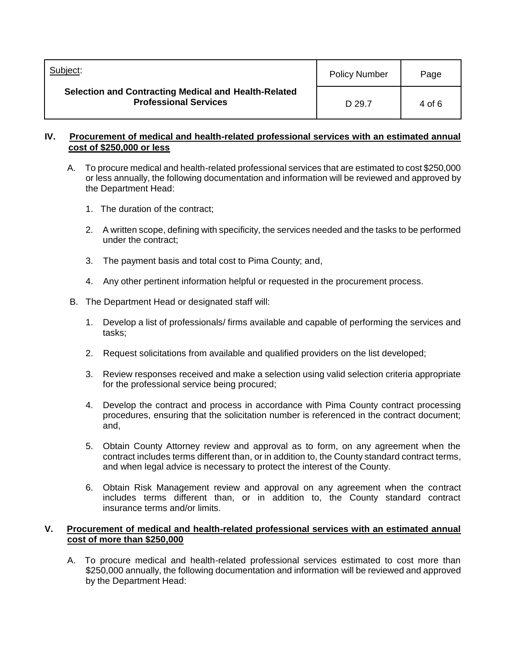| Subject:                                                                                    | <b>Policy Number</b> | Page   |
|---------------------------------------------------------------------------------------------|----------------------|--------|
| <b>Selection and Contracting Medical and Health-Related</b><br><b>Professional Services</b> | D 29.7               | 4 of 6 |

### **IV. Procurement of medical and health-related professional services with an estimated annual cost of \$250,000 or less**

- A. To procure medical and health-related professional services that are estimated to cost \$250,000 or less annually, the following documentation and information will be reviewed and approved by the Department Head:
	- 1. The duration of the contract;
	- 2. A written scope, defining with specificity, the services needed and the tasks to be performed under the contract;
	- 3. The payment basis and total cost to Pima County; and,
	- 4. Any other pertinent information helpful or requested in the procurement process.
- B. The Department Head or designated staff will:
	- 1. Develop a list of professionals/ firms available and capable of performing the services and tasks;
	- 2. Request solicitations from available and qualified providers on the list developed;
	- 3. Review responses received and make a selection using valid selection criteria appropriate for the professional service being procured;
	- 4. Develop the contract and process in accordance with Pima County contract processing procedures, ensuring that the solicitation number is referenced in the contract document; and,
	- 5. Obtain County Attorney review and approval as to form, on any agreement when the contract includes terms different than, or in addition to, the County standard contract terms, and when legal advice is necessary to protect the interest of the County.
	- 6. Obtain Risk Management review and approval on any agreement when the contract includes terms different than, or in addition to, the County standard contract insurance terms and/or limits.

### **V. Procurement of medical and health-related professional services with an estimated annual cost of more than \$250,000**

A. To procure medical and health-related professional services estimated to cost more than \$250,000 annually, the following documentation and information will be reviewed and approved by the Department Head: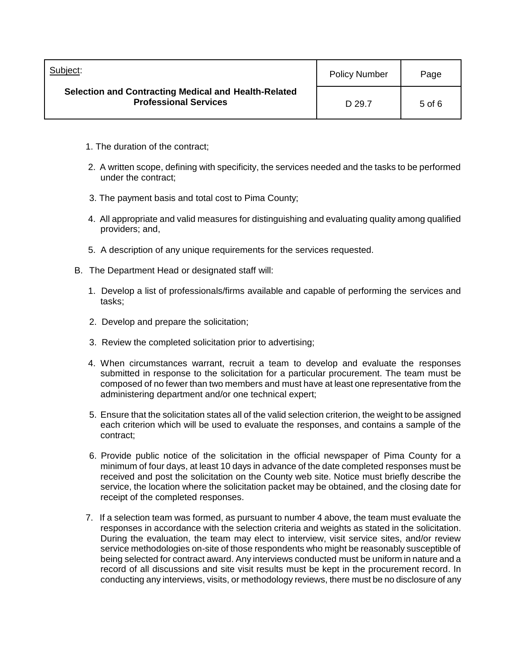| Subject:                                                                                    | <b>Policy Number</b> | Page       |
|---------------------------------------------------------------------------------------------|----------------------|------------|
| <b>Selection and Contracting Medical and Health-Related</b><br><b>Professional Services</b> | D 29.7               | $5$ of $6$ |

- 1. The duration of the contract;
- 2. A written scope, defining with specificity, the services needed and the tasks to be performed under the contract;
- 3. The payment basis and total cost to Pima County;
- 4. All appropriate and valid measures for distinguishing and evaluating quality among qualified providers; and,
- 5. A description of any unique requirements for the services requested.
- B. The Department Head or designated staff will:
	- 1. Develop a list of professionals/firms available and capable of performing the services and tasks;
	- 2. Develop and prepare the solicitation;
	- 3. Review the completed solicitation prior to advertising;
	- 4. When circumstances warrant, recruit a team to develop and evaluate the responses submitted in response to the solicitation for a particular procurement. The team must be composed of no fewer than two members and must have at least one representative from the administering department and/or one technical expert;
	- 5. Ensure that the solicitation states all of the valid selection criterion, the weight to be assigned each criterion which will be used to evaluate the responses, and contains a sample of the contract;
	- 6. Provide public notice of the solicitation in the official newspaper of Pima County for a minimum of four days, at least 10 days in advance of the date completed responses must be received and post the solicitation on the County web site. Notice must briefly describe the service, the location where the solicitation packet may be obtained, and the closing date for receipt of the completed responses.
	- 7. If a selection team was formed, as pursuant to number 4 above, the team must evaluate the responses in accordance with the selection criteria and weights as stated in the solicitation. During the evaluation, the team may elect to interview, visit service sites, and/or review service methodologies on-site of those respondents who might be reasonably susceptible of being selected for contract award. Any interviews conducted must be uniform in nature and a record of all discussions and site visit results must be kept in the procurement record. In conducting any interviews, visits, or methodology reviews, there must be no disclosure of any